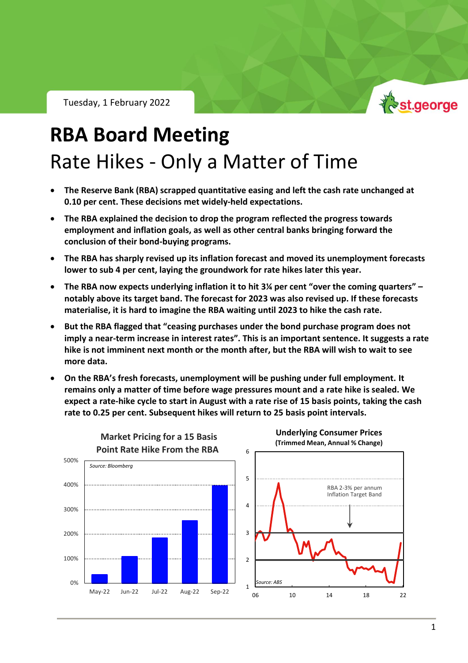Tuesday, 1 February 2022



# **RBA Board Meeting** Rate Hikes - Only a Matter of Time

- **The Reserve Bank (RBA) scrapped quantitative easing and left the cash rate unchanged at 0.10 per cent. These decisions met widely-held expectations.**
- **The RBA explained the decision to drop the program reflected the progress towards employment and inflation goals, as well as other central banks bringing forward the conclusion of their bond-buying programs.**
- **The RBA has sharply revised up its inflation forecast and moved its unemployment forecasts lower to sub 4 per cent, laying the groundwork for rate hikes later this year.**
- **The RBA now expects underlying inflation it to hit 3¼ per cent "over the coming quarters" – notably above its target band. The forecast for 2023 was also revised up. If these forecasts materialise, it is hard to imagine the RBA waiting until 2023 to hike the cash rate.**
- **But the RBA flagged that "ceasing purchases under the bond purchase program does not imply a near-term increase in interest rates". This is an important sentence. It suggests a rate hike is not imminent next month or the month after, but the RBA will wish to wait to see more data.**
- **On the RBA's fresh forecasts, unemployment will be pushing under full employment. It remains only a matter of time before wage pressures mount and a rate hike is sealed. We expect a rate-hike cycle to start in August with a rate rise of 15 basis points, taking the cash rate to 0.25 per cent. Subsequent hikes will return to 25 basis point intervals.**

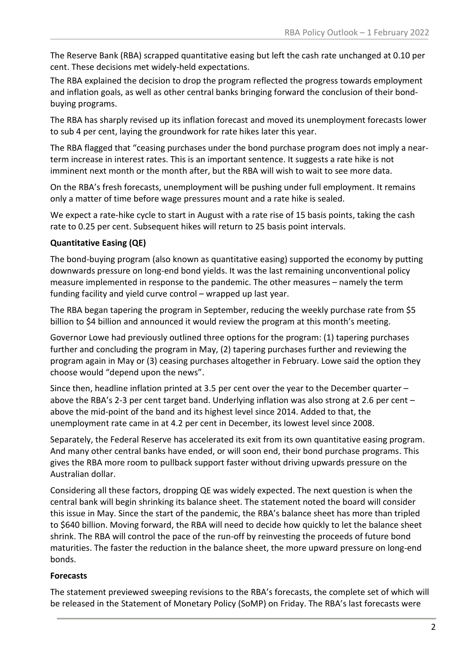The Reserve Bank (RBA) scrapped quantitative easing but left the cash rate unchanged at 0.10 per cent. These decisions met widely-held expectations.

The RBA explained the decision to drop the program reflected the progress towards employment and inflation goals, as well as other central banks bringing forward the conclusion of their bondbuying programs.

The RBA has sharply revised up its inflation forecast and moved its unemployment forecasts lower to sub 4 per cent, laying the groundwork for rate hikes later this year.

The RBA flagged that "ceasing purchases under the bond purchase program does not imply a nearterm increase in interest rates. This is an important sentence. It suggests a rate hike is not imminent next month or the month after, but the RBA will wish to wait to see more data.

On the RBA's fresh forecasts, unemployment will be pushing under full employment. It remains only a matter of time before wage pressures mount and a rate hike is sealed.

We expect a rate-hike cycle to start in August with a rate rise of 15 basis points, taking the cash rate to 0.25 per cent. Subsequent hikes will return to 25 basis point intervals.

# **Quantitative Easing (QE)**

The bond-buying program (also known as quantitative easing) supported the economy by putting downwards pressure on long-end bond yields. It was the last remaining unconventional policy measure implemented in response to the pandemic. The other measures – namely the term funding facility and yield curve control – wrapped up last year.

The RBA began tapering the program in September, reducing the weekly purchase rate from \$5 billion to \$4 billion and announced it would review the program at this month's meeting.

Governor Lowe had previously outlined three options for the program: (1) tapering purchases further and concluding the program in May, (2) tapering purchases further and reviewing the program again in May or (3) ceasing purchases altogether in February. Lowe said the option they choose would "depend upon the news".

Since then, headline inflation printed at 3.5 per cent over the year to the December quarter – above the RBA's 2-3 per cent target band. Underlying inflation was also strong at 2.6 per cent – above the mid-point of the band and its highest level since 2014. Added to that, the unemployment rate came in at 4.2 per cent in December, its lowest level since 2008.

Separately, the Federal Reserve has accelerated its exit from its own quantitative easing program. And many other central banks have ended, or will soon end, their bond purchase programs. This gives the RBA more room to pullback support faster without driving upwards pressure on the Australian dollar.

Considering all these factors, dropping QE was widely expected. The next question is when the central bank will begin shrinking its balance sheet. The statement noted the board will consider this issue in May. Since the start of the pandemic, the RBA's balance sheet has more than tripled to \$640 billion. Moving forward, the RBA will need to decide how quickly to let the balance sheet shrink. The RBA will control the pace of the run-off by reinvesting the proceeds of future bond maturities. The faster the reduction in the balance sheet, the more upward pressure on long-end bonds.

## **Forecasts**

The statement previewed sweeping revisions to the RBA's forecasts, the complete set of which will be released in the Statement of Monetary Policy (SoMP) on Friday. The RBA's last forecasts were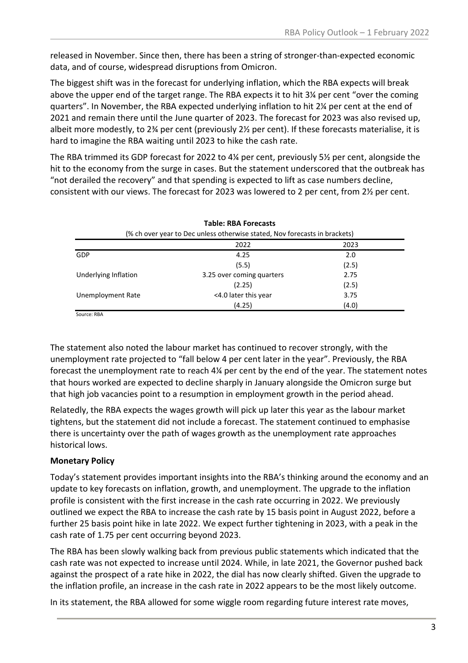released in November. Since then, there has been a string of stronger-than-expected economic data, and of course, widespread disruptions from Omicron.

The biggest shift was in the forecast for underlying inflation, which the RBA expects will break above the upper end of the target range. The RBA expects it to hit 3¼ per cent "over the coming quarters". In November, the RBA expected underlying inflation to hit 2¼ per cent at the end of 2021 and remain there until the June quarter of 2023. The forecast for 2023 was also revised up, albeit more modestly, to 2¾ per cent (previously 2½ per cent). If these forecasts materialise, it is hard to imagine the RBA waiting until 2023 to hike the cash rate.

The RBA trimmed its GDP forecast for 2022 to 4¼ per cent, previously 5½ per cent, alongside the hit to the economy from the surge in cases. But the statement underscored that the outbreak has "not derailed the recovery" and that spending is expected to lift as case numbers decline, consistent with our views. The forecast for 2023 was lowered to 2 per cent, from 2½ per cent.

| <b>Table: RBA Forecasts</b><br>(% ch over year to Dec unless otherwise stated, Nov forecasts in brackets) |                           |       |
|-----------------------------------------------------------------------------------------------------------|---------------------------|-------|
|                                                                                                           |                           |       |
| <b>GDP</b>                                                                                                | 4.25                      | 2.0   |
|                                                                                                           | (5.5)                     | (2.5) |
| Underlying Inflation                                                                                      | 3.25 over coming quarters | 2.75  |
|                                                                                                           | (2.25)                    | (2.5) |
| Unemployment Rate                                                                                         | <4.0 later this year      | 3.75  |
|                                                                                                           | (4.25)                    | (4.0) |
| $\sim$ $\sim$ $\sim$ $\sim$ $\sim$                                                                        |                           |       |

Source: RBA

The statement also noted the labour market has continued to recover strongly, with the unemployment rate projected to "fall below 4 per cent later in the year". Previously, the RBA forecast the unemployment rate to reach 4¼ per cent by the end of the year. The statement notes that hours worked are expected to decline sharply in January alongside the Omicron surge but that high job vacancies point to a resumption in employment growth in the period ahead.

Relatedly, the RBA expects the wages growth will pick up later this year as the labour market tightens, but the statement did not include a forecast. The statement continued to emphasise there is uncertainty over the path of wages growth as the unemployment rate approaches historical lows.

## **Monetary Policy**

Today's statement provides important insights into the RBA's thinking around the economy and an update to key forecasts on inflation, growth, and unemployment. The upgrade to the inflation profile is consistent with the first increase in the cash rate occurring in 2022. We previously outlined we expect the RBA to increase the cash rate by 15 basis point in August 2022, before a further 25 basis point hike in late 2022. We expect further tightening in 2023, with a peak in the cash rate of 1.75 per cent occurring beyond 2023.

The RBA has been slowly walking back from previous public statements which indicated that the cash rate was not expected to increase until 2024. While, in late 2021, the Governor pushed back against the prospect of a rate hike in 2022, the dial has now clearly shifted. Given the upgrade to the inflation profile, an increase in the cash rate in 2022 appears to be the most likely outcome.

In its statement, the RBA allowed for some wiggle room regarding future interest rate moves,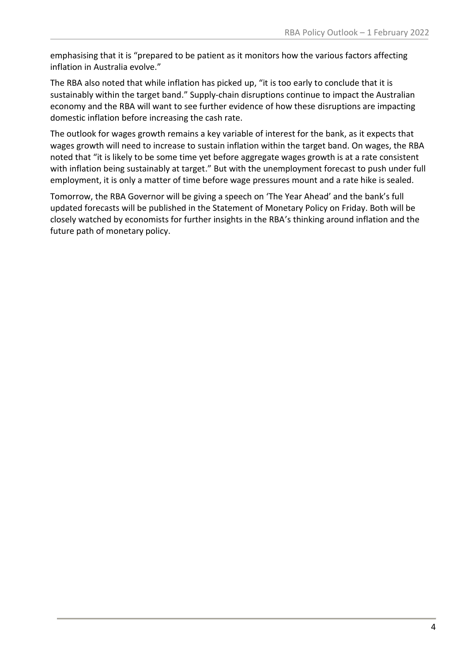emphasising that it is "prepared to be patient as it monitors how the various factors affecting inflation in Australia evolve."

The RBA also noted that while inflation has picked up, "it is too early to conclude that it is sustainably within the target band." Supply-chain disruptions continue to impact the Australian economy and the RBA will want to see further evidence of how these disruptions are impacting domestic inflation before increasing the cash rate.

The outlook for wages growth remains a key variable of interest for the bank, as it expects that wages growth will need to increase to sustain inflation within the target band. On wages, the RBA noted that "it is likely to be some time yet before aggregate wages growth is at a rate consistent with inflation being sustainably at target." But with the unemployment forecast to push under full employment, it is only a matter of time before wage pressures mount and a rate hike is sealed.

Tomorrow, the RBA Governor will be giving a speech on 'The Year Ahead' and the bank's full updated forecasts will be published in the Statement of Monetary Policy on Friday. Both will be closely watched by economists for further insights in the RBA's thinking around inflation and the future path of monetary policy.